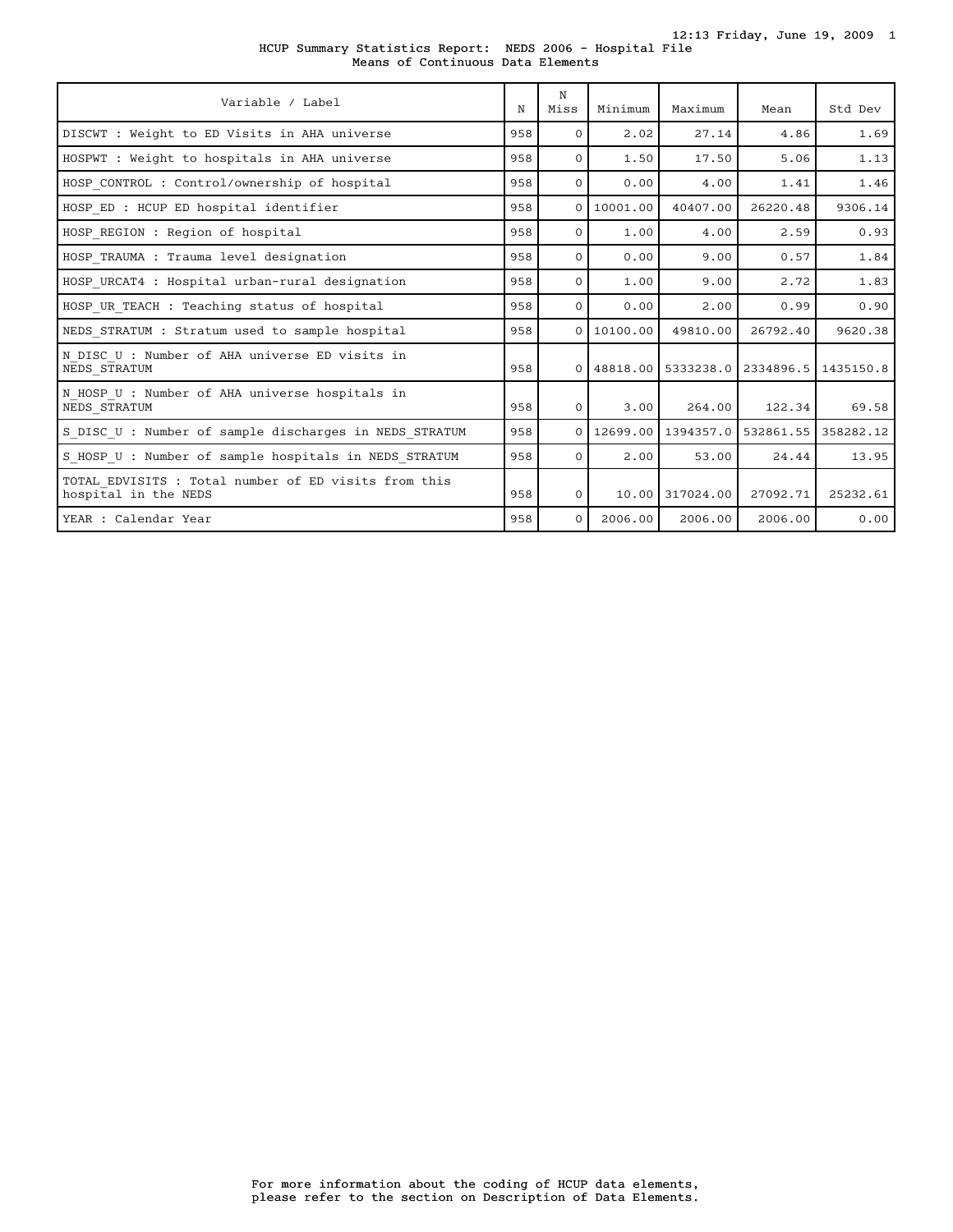12:13 Friday, June 19, 2009 1

|  |  | HCUP Summary Statistics Report: NEDS 2006 - Hospital File |  |  |  |
|--|--|-----------------------------------------------------------|--|--|--|
|  |  | Means of Continuous Data Elements                         |  |  |  |

| Variable / Label                                                             | N   | N<br>Miss | Minimum    | Maximum               | Mean                                     | Std Dev   |
|------------------------------------------------------------------------------|-----|-----------|------------|-----------------------|------------------------------------------|-----------|
| DISCWT : Weight to ED Visits in AHA universe                                 | 958 | $\Omega$  | 2.02       | 27.14                 | 4.86                                     | 1.69      |
| HOSPWT : Weight to hospitals in AHA universe                                 | 958 | $\Omega$  | 1.50       | 17.50                 | 5.06                                     | 1.13      |
| HOSP CONTROL : Control/ownership of hospital                                 | 958 | $\Omega$  | 0.00       | 4.00                  | 1.41                                     | 1.46      |
| HOSP ED : HCUP ED hospital identifier                                        | 958 | $\Omega$  | 10001.00   | 40407.00              | 26220.48                                 | 9306.14   |
| HOSP REGION : Region of hospital                                             | 958 | $\Omega$  | 1.00       | 4.00                  | 2.59                                     | 0.93      |
| HOSP TRAUMA : Trauma level designation                                       | 958 | $\Omega$  | 0.00       | 9.00                  | 0.57                                     | 1.84      |
| HOSP URCAT4 : Hospital urban-rural designation                               | 958 | $\Omega$  | 1.00       | 9.00                  | 2.72                                     | 1.83      |
| HOSP UR TEACH : Teaching status of hospital                                  | 958 | $\Omega$  | 0.00       | 2.00                  | 0.99                                     | 0.90      |
| NEDS STRATUM : Stratum used to sample hospital                               | 958 |           | 0110100.00 | 49810.00              | 26792.40                                 | 9620.38   |
| N DISC U : Number of AHA universe ED visits in<br>NEDS STRATUM               | 958 |           |            |                       | 0 48818,00 5333238,0 2334896.5 1435150.8 |           |
| N HOSP U : Number of AHA universe hospitals in<br>NEDS STRATUM               | 958 | $\Omega$  | 3.00       | 264.00                | 122.34                                   | 69.58     |
| S DISC U : Number of sample discharges in NEDS STRATUM                       | 958 | $\Omega$  | 12699.00   | 1394357.0   532861.55 |                                          | 358282.12 |
| S HOSP U : Number of sample hospitals in NEDS STRATUM                        | 958 | $\Omega$  | 2.00       | 53.00                 | 24.44                                    | 13.95     |
| TOTAL EDVISITS : Total number of ED visits from this<br>hospital in the NEDS | 958 | $\Omega$  |            | 10.00 317024.00       | 27092.71                                 | 25232.61  |
| YEAR : Calendar Year                                                         | 958 | $\Omega$  | 2006.00    | 2006.00               | 2006.00                                  | 0.00      |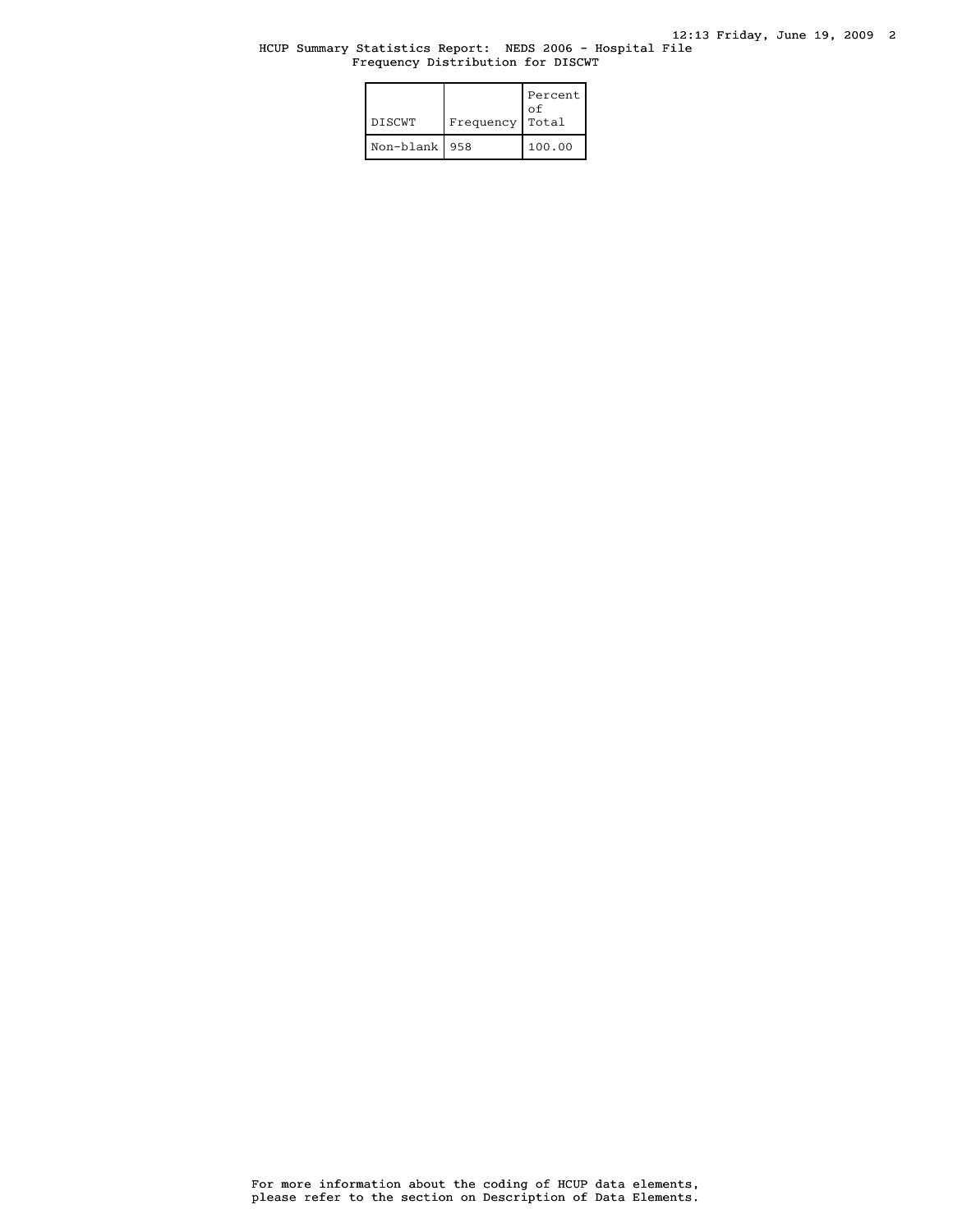# HCUP Summary Statistics Report: NEDS 2006 - Hospital File Frequency Distribution for DISCWT

| <b>DISCWT</b>   | Frequency | Percent<br>οf<br>Total |
|-----------------|-----------|------------------------|
| Non-blank   958 |           | 100.00                 |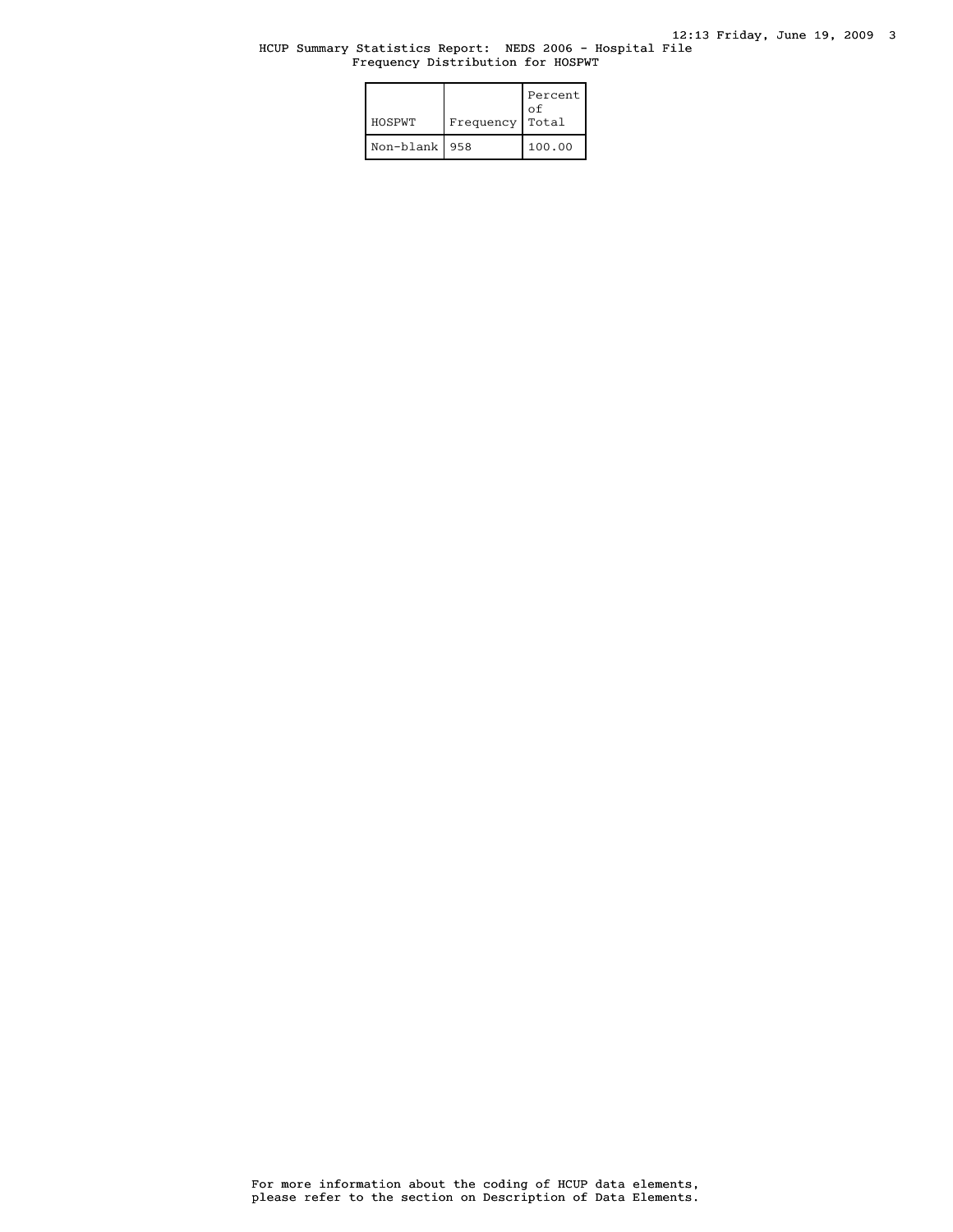# HCUP Summary Statistics Report: NEDS 2006 - Hospital File Frequency Distribution for HOSPWT

| HOSPWT          | Frequency | Percent<br>οf<br>Total |
|-----------------|-----------|------------------------|
| Non-blank   958 |           | 100.00                 |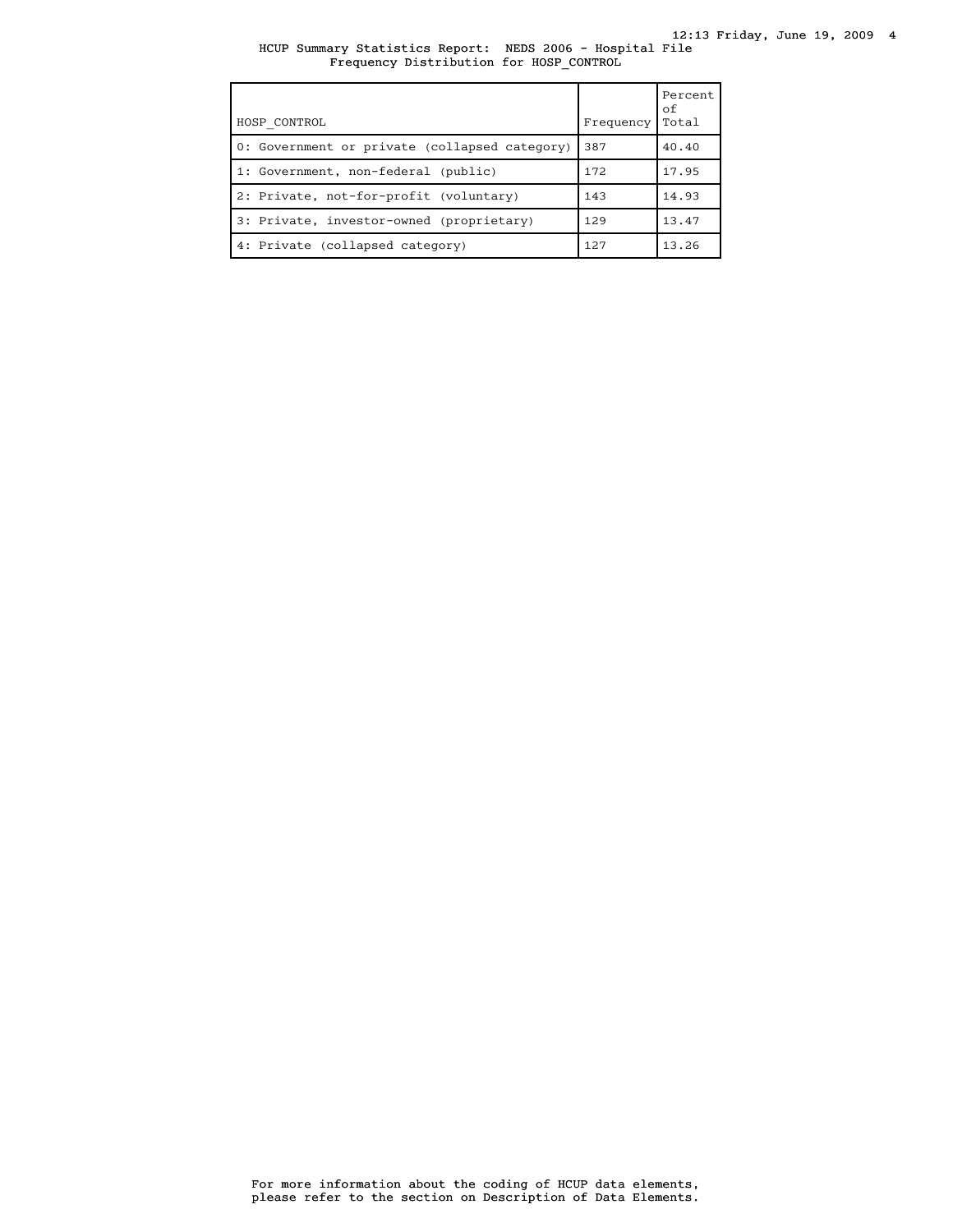# HCUP Summary Statistics Report: NEDS 2006 - Hospital File Frequency Distribution for HOSP\_CONTROL

| HOSP CONTROL                                  | Frequency | Percent<br>οf<br>Total |
|-----------------------------------------------|-----------|------------------------|
| 0: Government or private (collapsed category) | 387       | 40.40                  |
| 1: Government, non-federal (public)           | 172       | 17.95                  |
| 2: Private, not-for-profit (voluntary)        | 143       | 14.93                  |
| 3: Private, investor-owned (proprietary)      | 129       | 13.47                  |
| 4: Private (collapsed category)               | 127       | 13.26                  |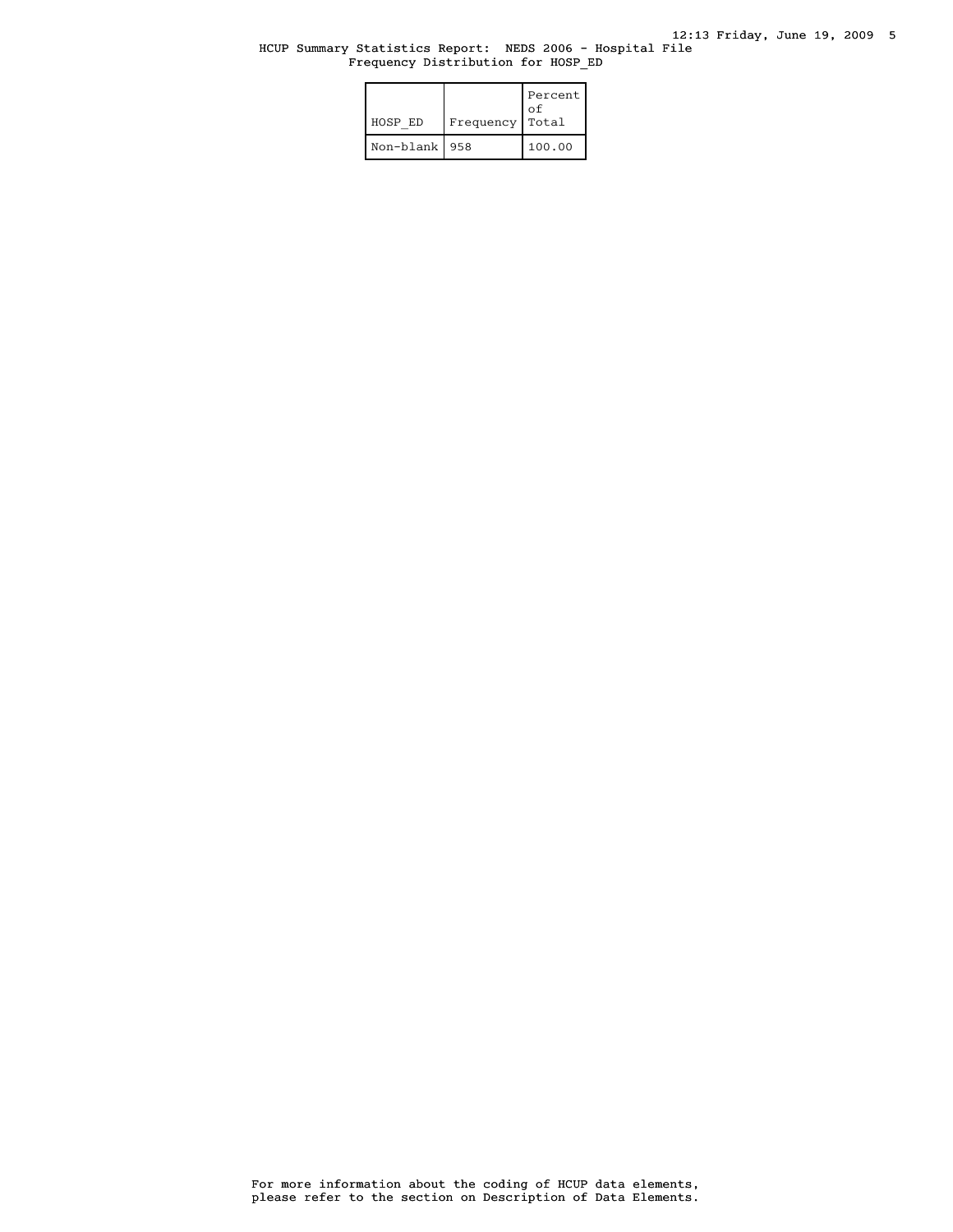#### HCUP Summary Statistics Report: NEDS 2006 - Hospital File Frequency Distribution for HOSP\_ED

| HOSP ED         | Frequency | Percent<br>οf<br>Total |
|-----------------|-----------|------------------------|
| Non-blank   958 |           | 100.00                 |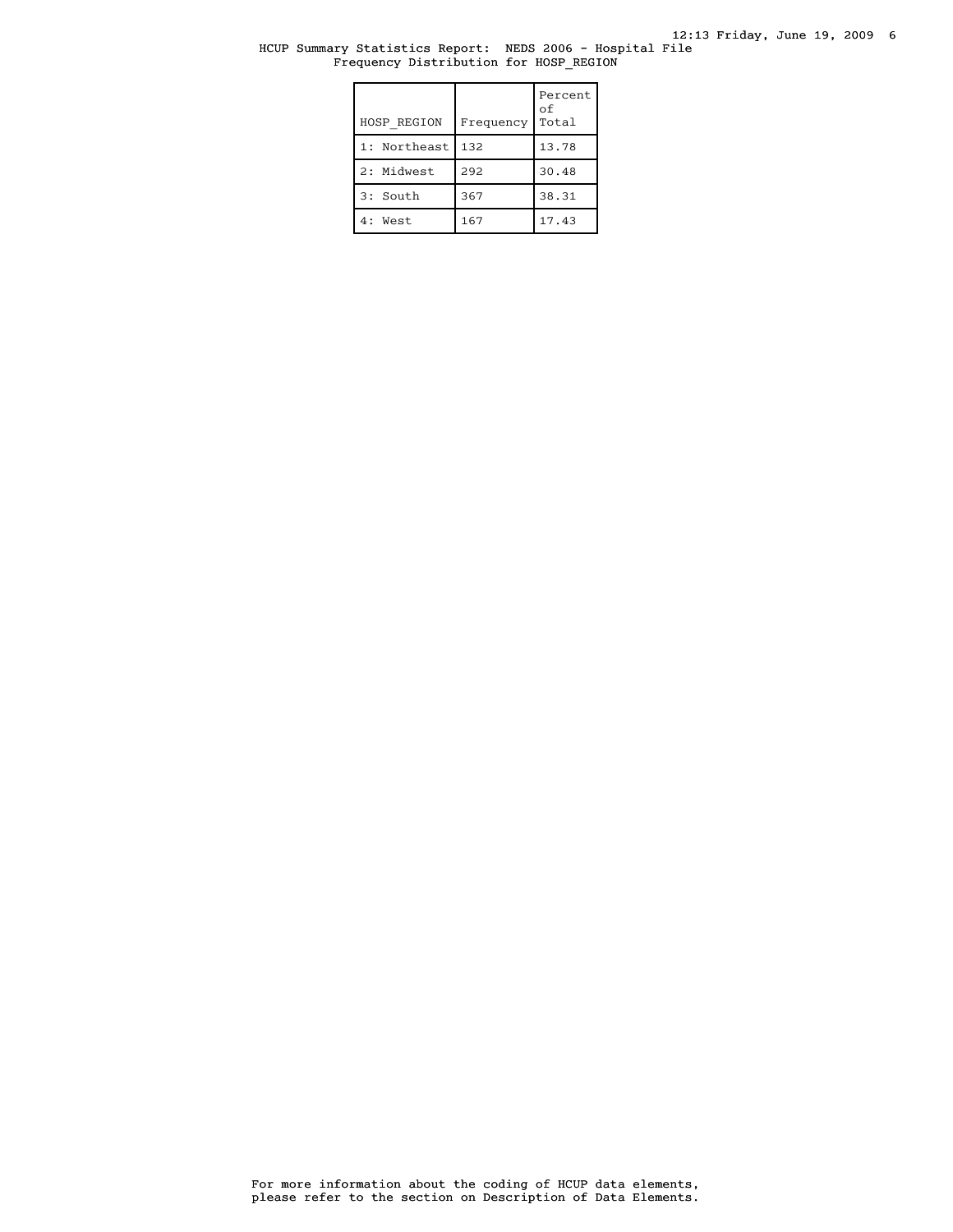# HCUP Summary Statistics Report: NEDS 2006 - Hospital File Frequency Distribution for HOSP\_REGION

| HOSP REGION  | Frequency | Percent<br>оf<br>Total |
|--------------|-----------|------------------------|
| 1: Northeast | 132       | 13.78                  |
| 2: Midwest   | 292       | 30.48                  |
| 3: South     | 367       | 38.31                  |
| 4: West      | 167       | 17.43                  |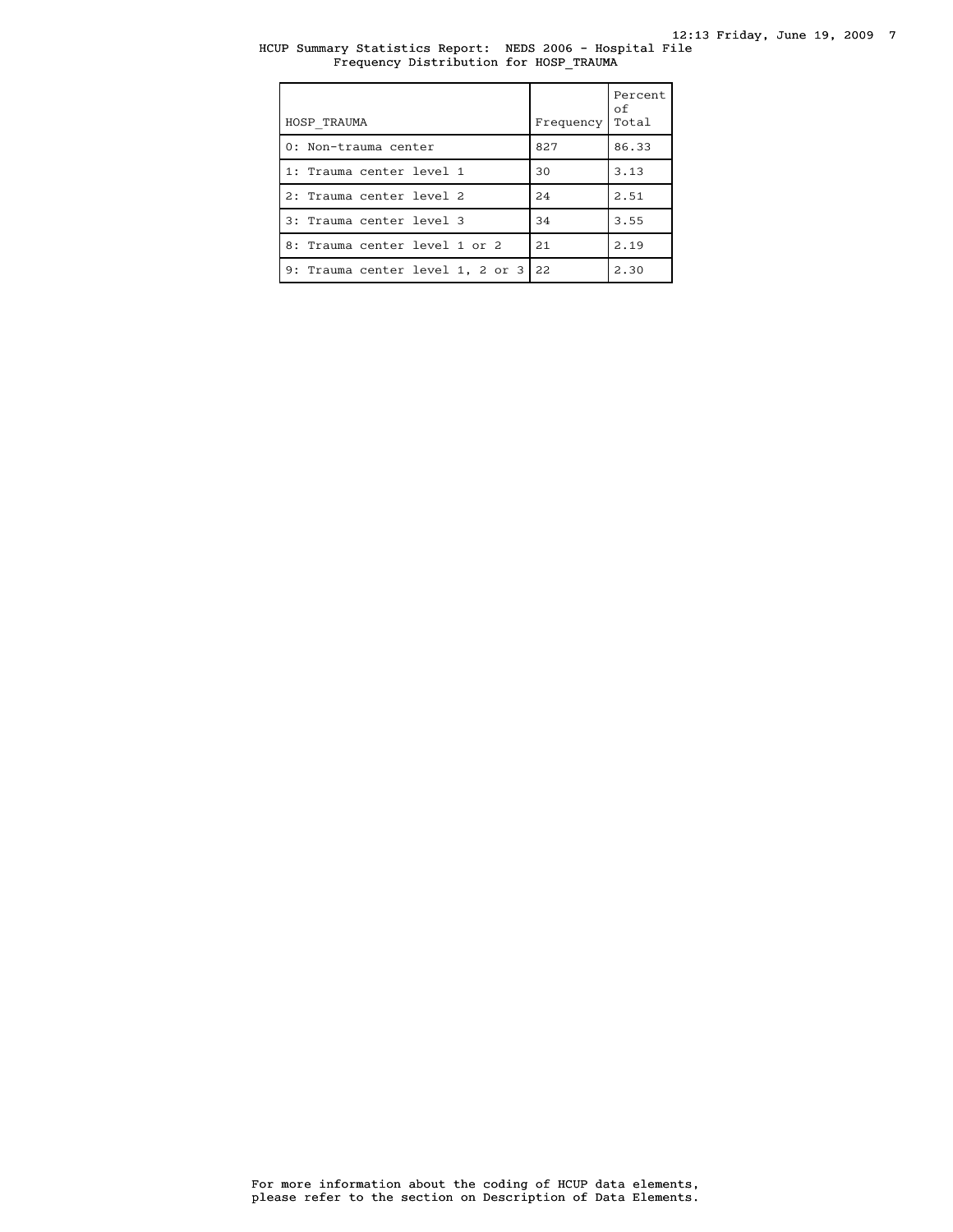# HCUP Summary Statistics Report: NEDS 2006 - Hospital File Frequency Distribution for HOSP\_TRAUMA

| HOSP TRAUMA                      | Frequency | Percent<br>оf<br>Total |
|----------------------------------|-----------|------------------------|
| 0: Non-trauma center             | 827       | 86.33                  |
| 1: Trauma center level 1         | 30        | 3.13                   |
| 2: Trauma center level 2         | 24        | 2.51                   |
| 3: Trauma center level 3         | 34        | 3.55                   |
| 8: Trauma center level 1 or 2    | 2.1       | 2.19                   |
| 9: Trauma center level 1, 2 or 3 | 22        | 2.30                   |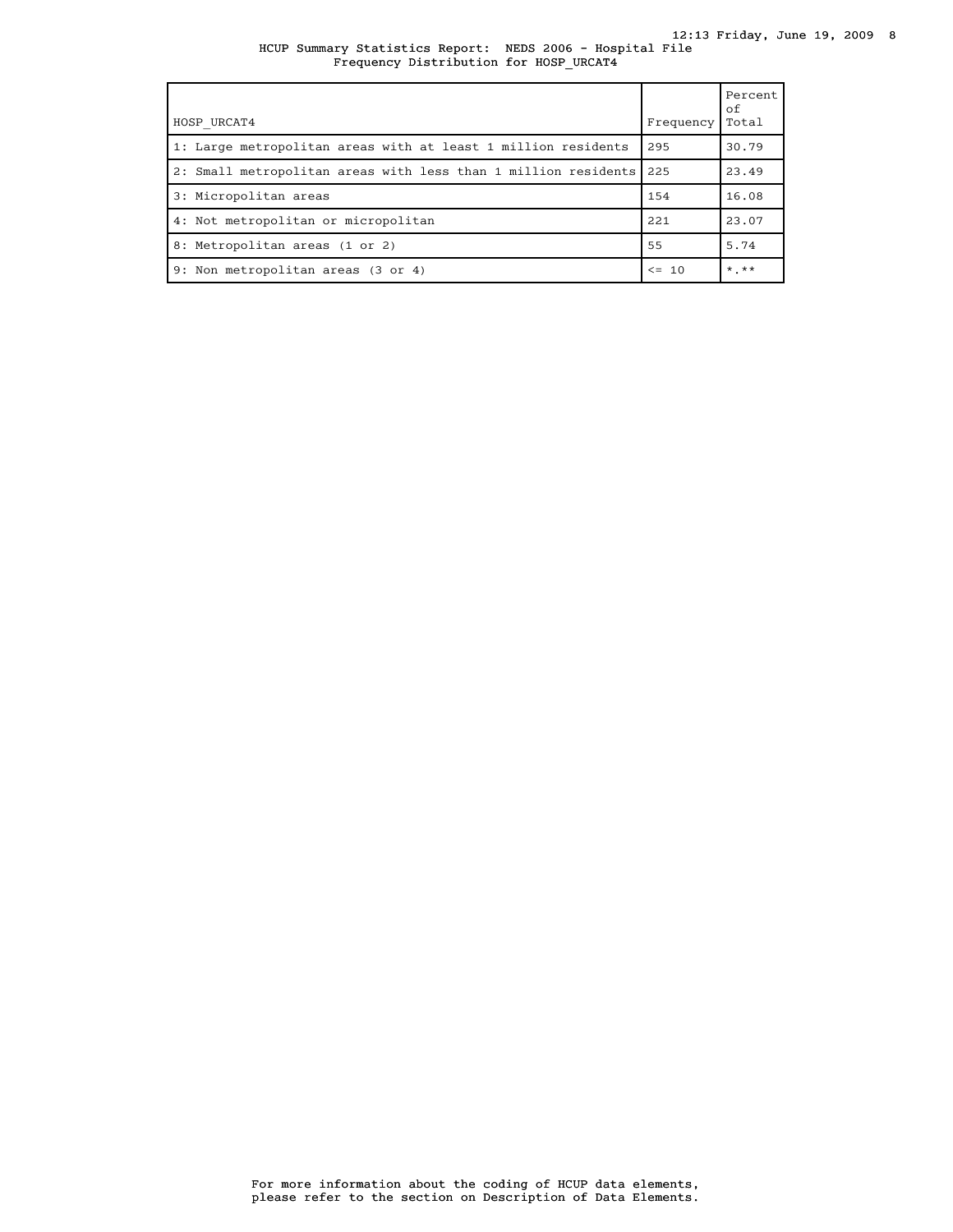HCUP Summary Statistics Report: NEDS 2006 - Hospital File Frequency Distribution for HOSP\_URCAT4

| HOSP URCAT4                                                        | Frequency | Percent<br>of<br>Total |
|--------------------------------------------------------------------|-----------|------------------------|
| 1: Large metropolitan areas with at least 1 million residents      | 295       | 30.79                  |
| 2: Small metropolitan areas with less than 1 million residents 225 |           | 23.49                  |
| 3: Micropolitan areas                                              | 154       | 16.08                  |
| 4: Not metropolitan or micropolitan                                | 221       | 23.07                  |
| 8: Metropolitan areas (1 or 2)                                     | 55        | 5.74                   |
| 9: Non metropolitan areas (3 or 4)                                 | $\leq$ 10 | $*$ **                 |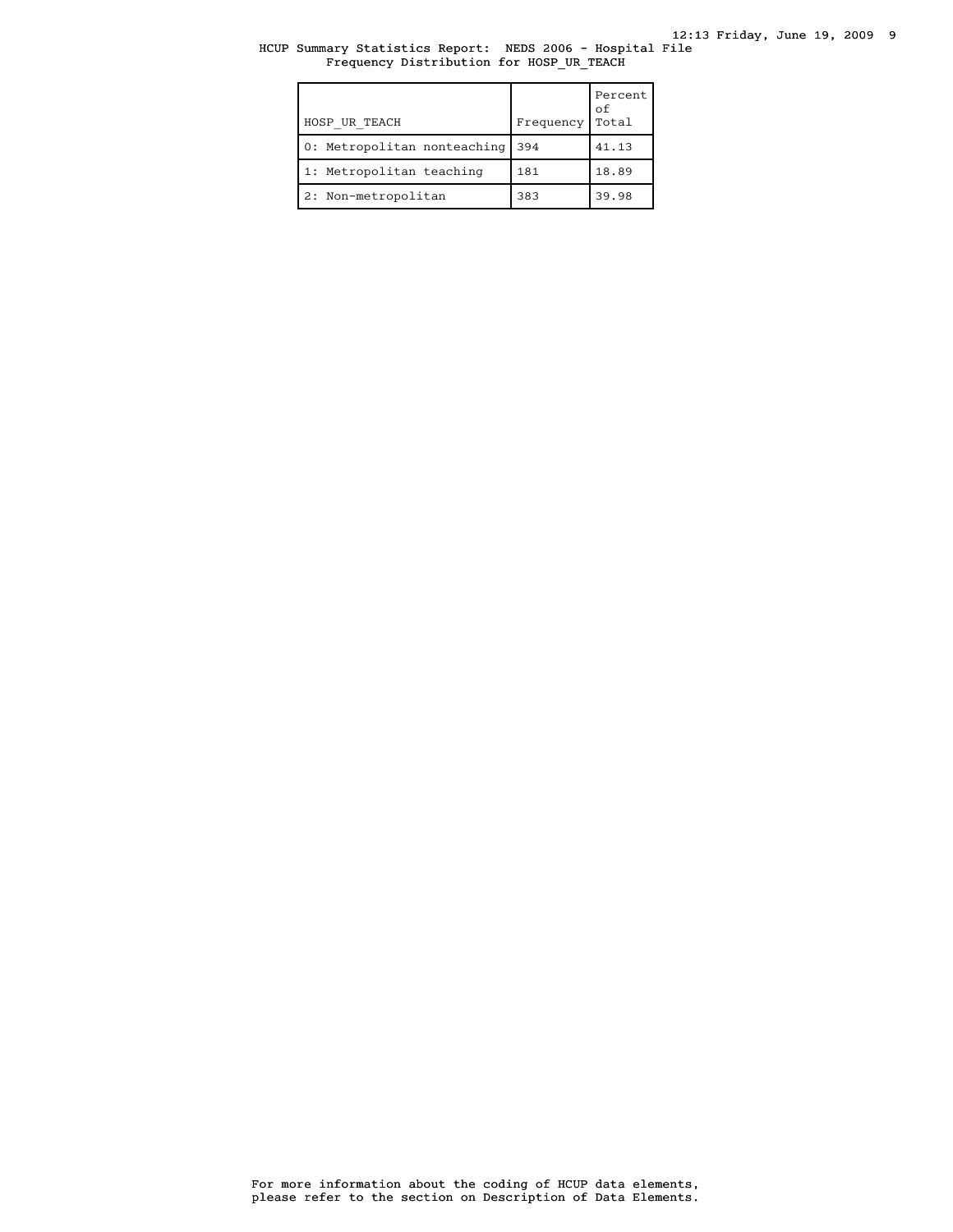# HCUP Summary Statistics Report: NEDS 2006 - Hospital File Frequency Distribution for HOSP\_UR\_TEACH

| HOSP UR TEACH               | Frequency | Percent<br>оf<br>Total |
|-----------------------------|-----------|------------------------|
| 0: Metropolitan nonteaching | 394       | 41.13                  |
| 1: Metropolitan teaching    | 181       | 18.89                  |
| 2: Non-metropolitan         | 383       | 39.98                  |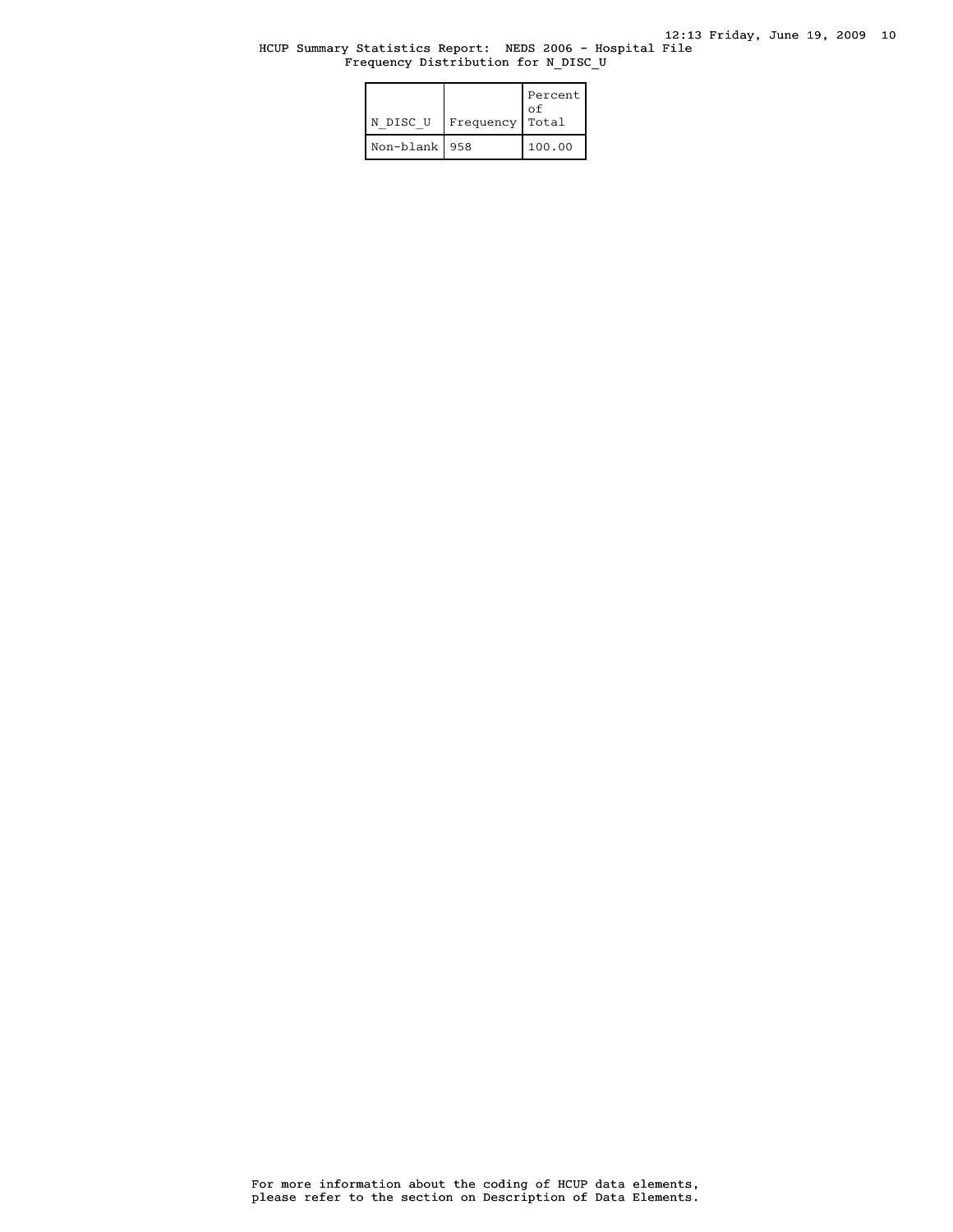# HCUP Summary Statistics Report: NEDS 2006 - Hospital File Frequency Distribution for N\_DISC\_U

| N DISC U        | Frequency | Percent  <br>†o<br>Total |
|-----------------|-----------|--------------------------|
| Non-blank   958 |           | 100.00                   |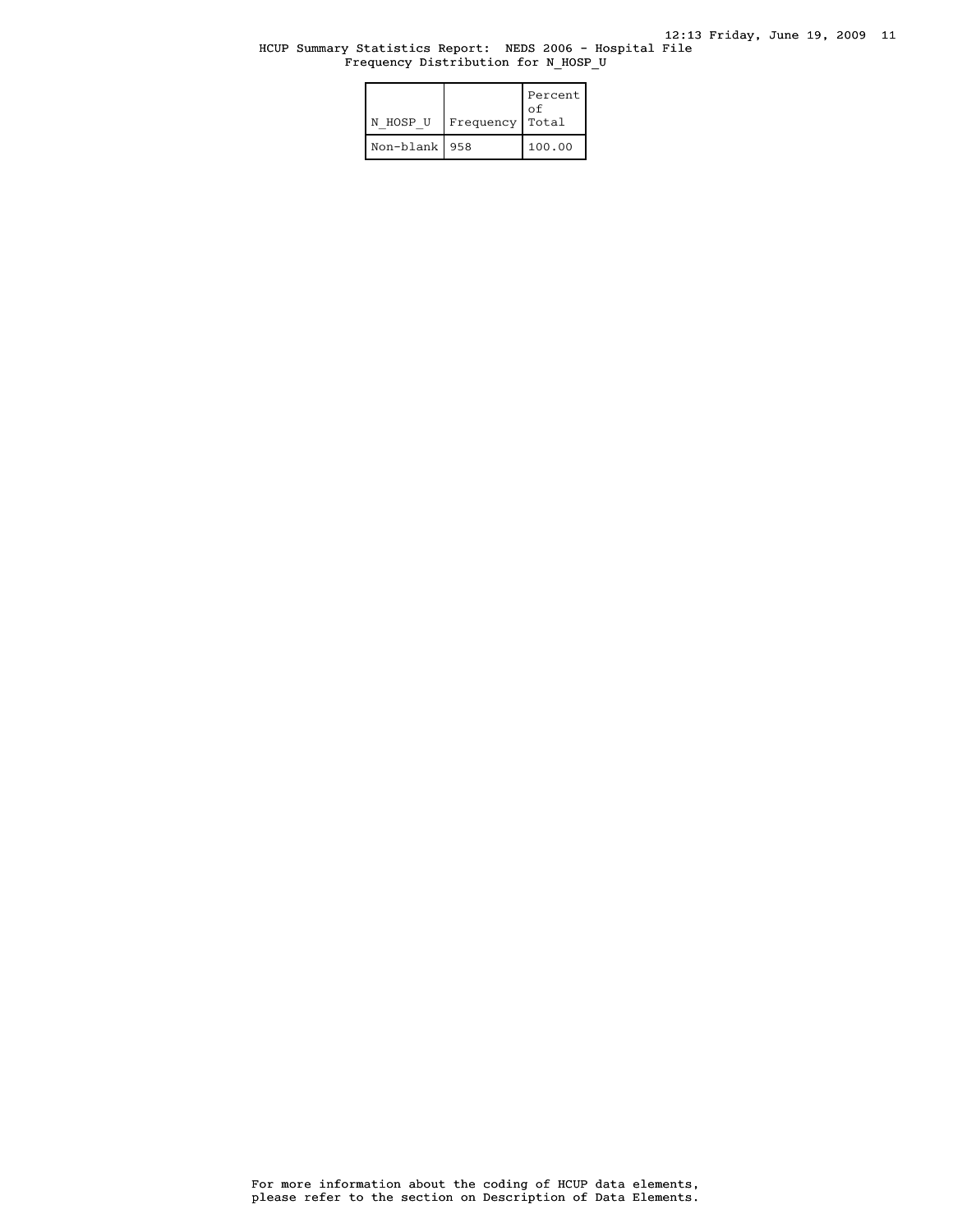## HCUP Summary Statistics Report: NEDS 2006 - Hospital File Frequency Distribution for N\_HOSP\_U

| N HOSP U        | Frequency | Percent<br>Ωf<br>Total |
|-----------------|-----------|------------------------|
| Non-blank   958 |           | 100.00                 |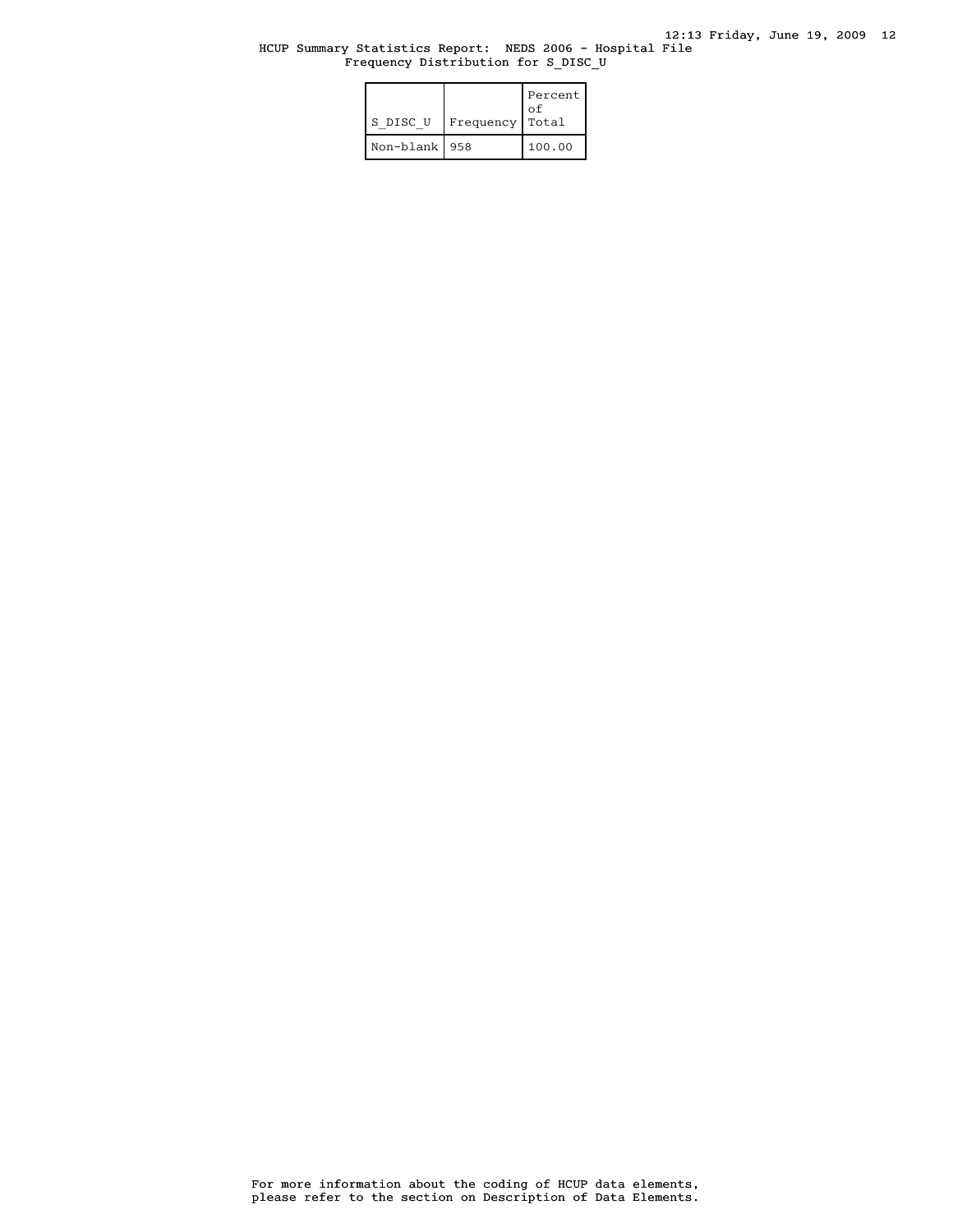# HCUP Summary Statistics Report: NEDS 2006 - Hospital File Frequency Distribution for S\_DISC\_U

| S DISC U        | Frequency | Percent<br>†o<br>Total |
|-----------------|-----------|------------------------|
| Non-blank   958 |           | 100.00                 |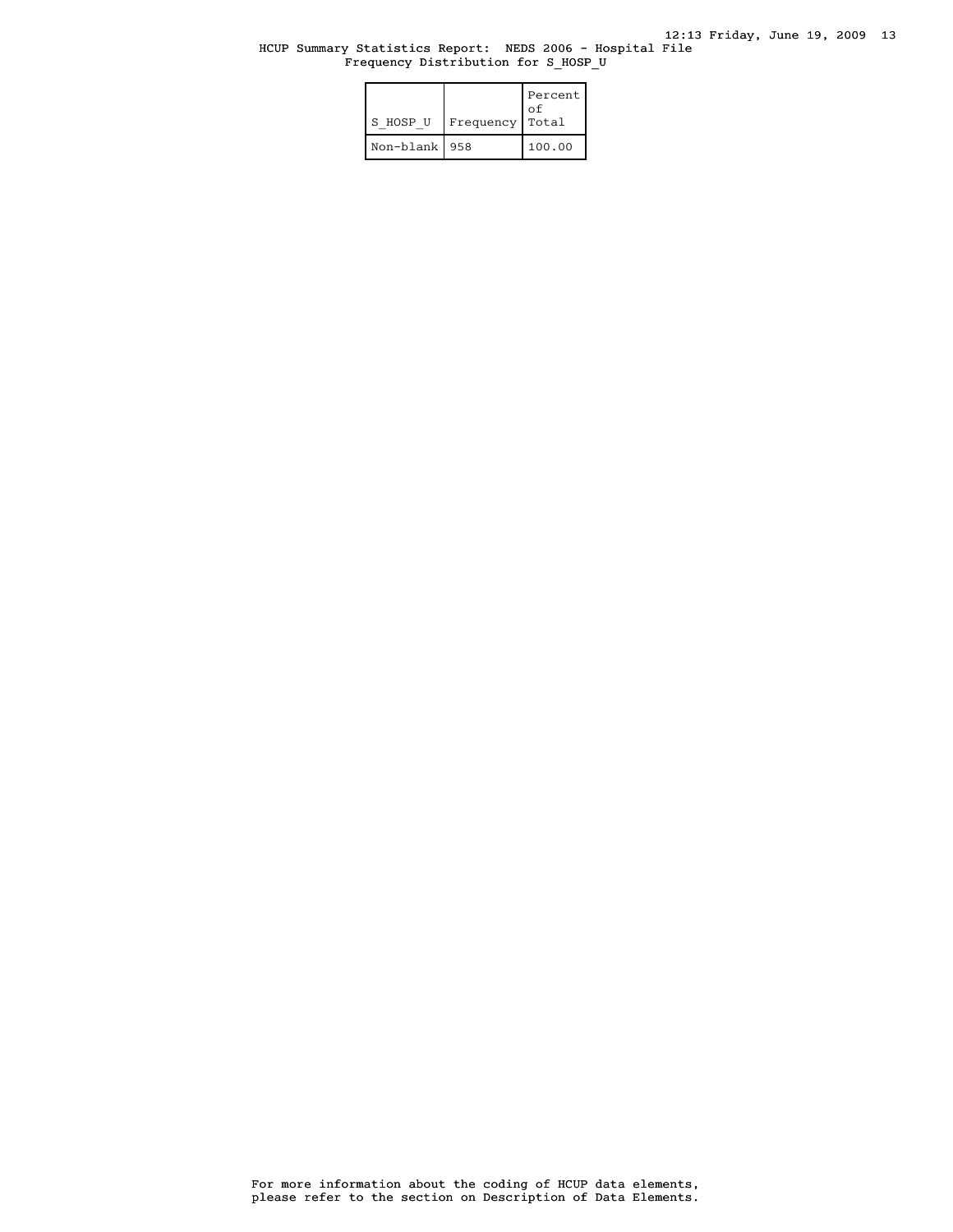#### HCUP Summary Statistics Report: NEDS 2006 - Hospital File Frequency Distribution for S\_HOSP\_U

| S HOSP U        | Frequency | Percent<br>οf<br>Total |
|-----------------|-----------|------------------------|
| Non-blank   958 |           | 100.00                 |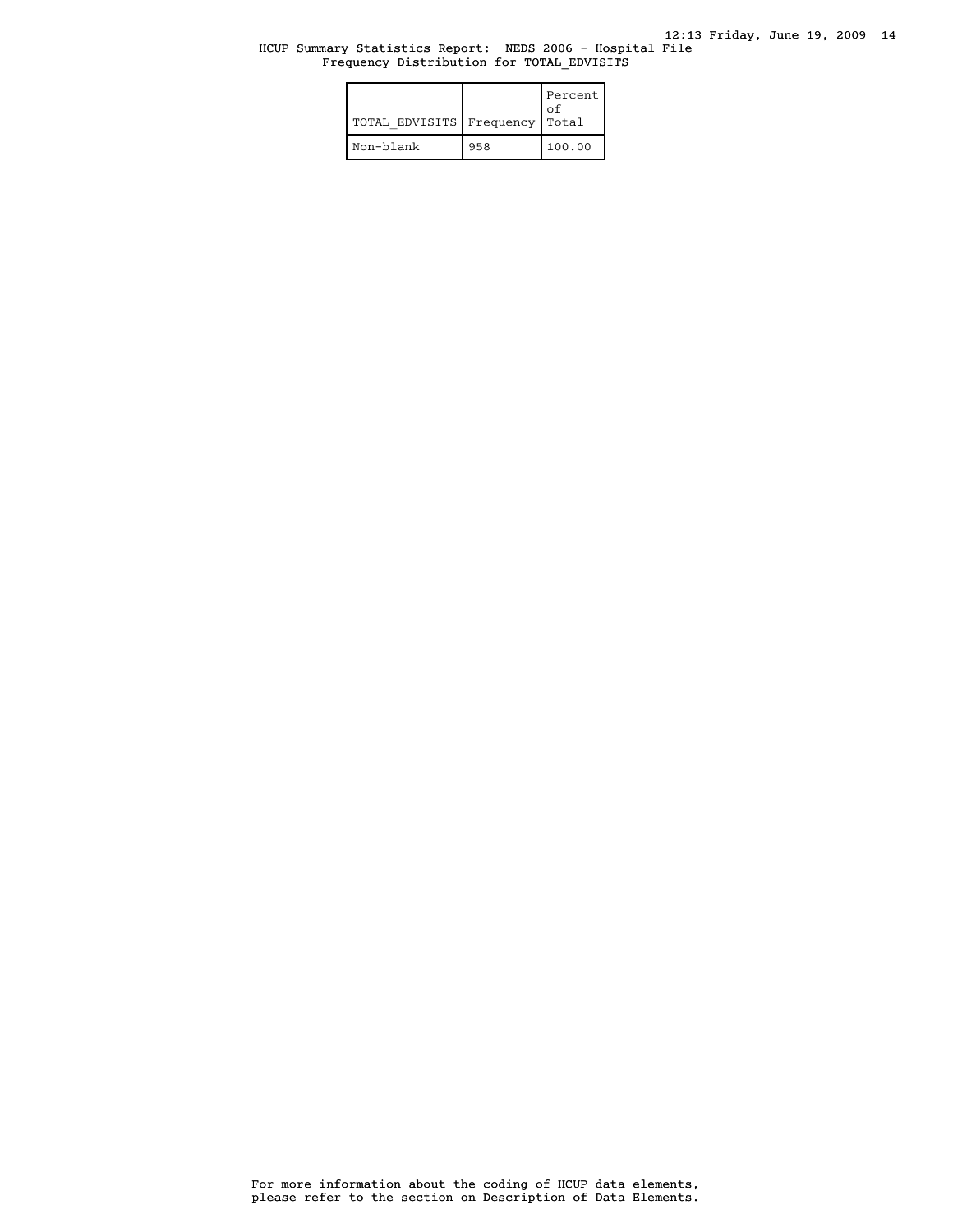## HCUP Summary Statistics Report: NEDS 2006 - Hospital File Frequency Distribution for TOTAL\_EDVISITS

| TOTAL EDVISITS   Frequency |     | Percent<br>Ωf<br>Total |
|----------------------------|-----|------------------------|
| Non-blank                  | 958 | 100.00                 |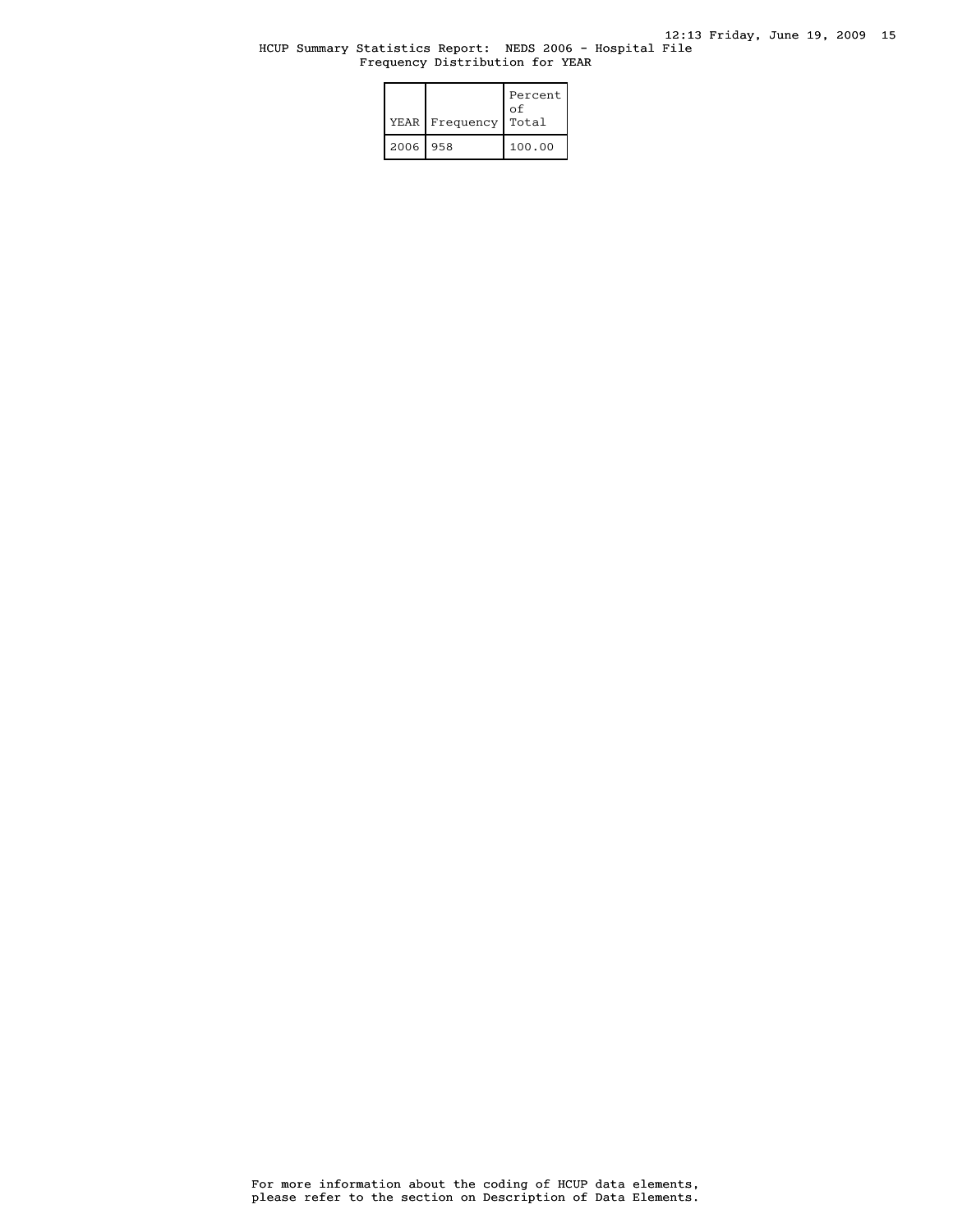# HCUP Summary Statistics Report: NEDS 2006 - Hospital File Frequency Distribution for YEAR

|          | YEAR   Frequency | Percent<br>оf<br>Total |
|----------|------------------|------------------------|
| 2006 958 |                  | 100.00                 |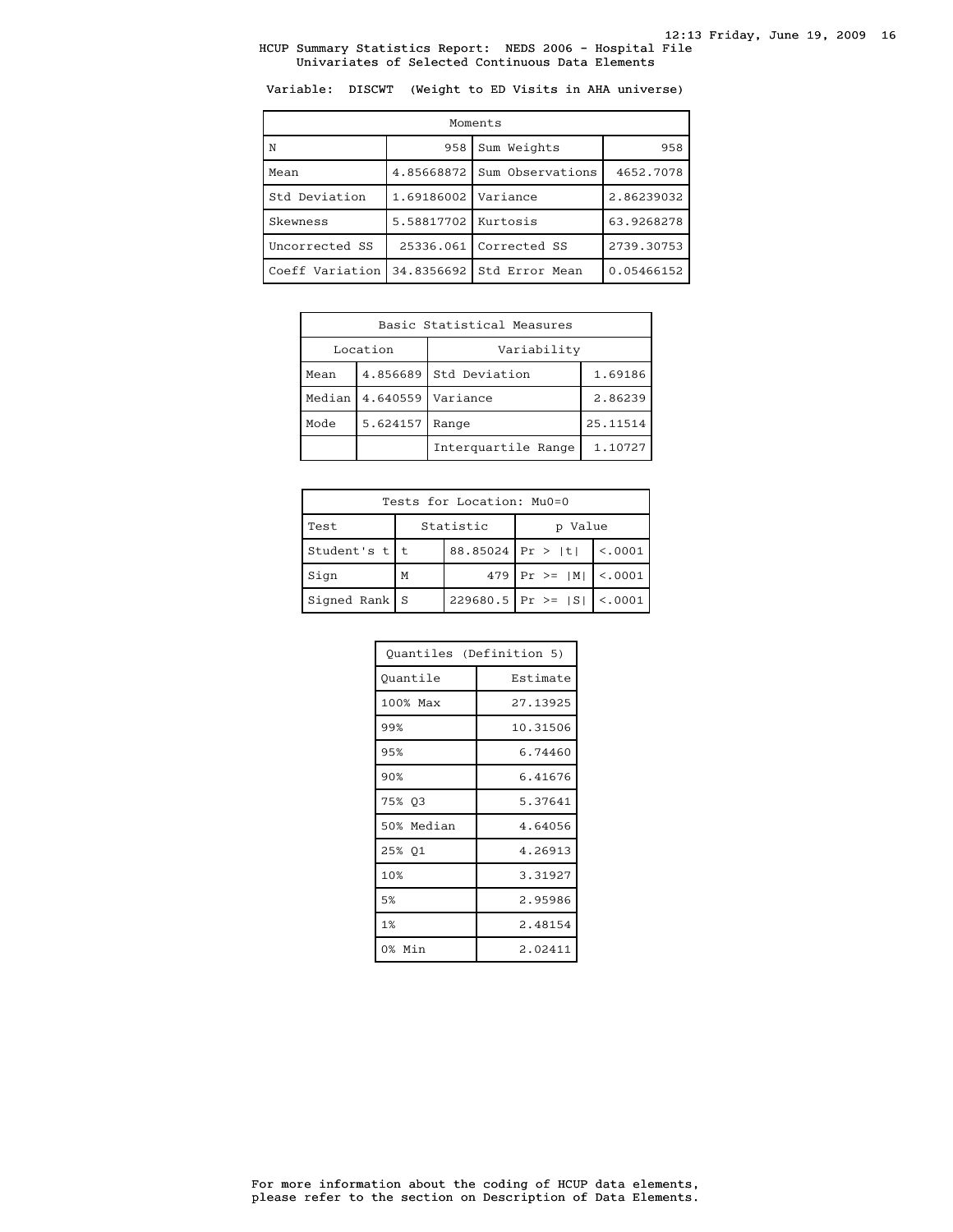Variable: DISCWT (Weight to ED Visits in AHA universe)

| Moments         |                     |                  |            |  |
|-----------------|---------------------|------------------|------------|--|
| N.              | 958                 | Sum Weights      | 958        |  |
| Mean            | 4.85668872          | Sum Observations | 4652.7078  |  |
| Std Deviation   | 1.69186002          | Variance         | 2.86239032 |  |
| Skewness        | 5.58817702 Kurtosis |                  | 63.9268278 |  |
| Uncorrected SS  | 25336.061           | Corrected SS     | 2739.30753 |  |
| Coeff Variation | 34.8356692          | Std Error Mean   | 0.05466152 |  |

| Basic Statistical Measures |                      |                     |          |  |
|----------------------------|----------------------|---------------------|----------|--|
| Location                   |                      | Variability         |          |  |
| Mean                       | 4.856689             | Std Deviation       | 1.69186  |  |
| Median                     | 4.640559<br>Variance |                     | 2.86239  |  |
| Mode<br>5.624157           |                      | Range               | 25.11514 |  |
|                            |                      | Interguartile Range | 1.10727  |  |

| Tests for Location: Mu0=0 |   |                  |                             |          |
|---------------------------|---|------------------|-----------------------------|----------|
| Test                      |   | Statistic        | Value<br>D                  |          |
| Student's $t$   t         |   | 88.85024 Pr >  t |                             | < 0.0001 |
| Sign                      | M |                  | 479   Pr > = $ M $   < 0001 |          |
| Signed Rank   S           |   |                  | $229680.5$ Pr >= $ S $      | < .0001  |

| Quantiles (Definition 5) |          |  |
|--------------------------|----------|--|
| Ouantile                 | Estimate |  |
| 100% Max                 | 27.13925 |  |
| 99%                      | 10.31506 |  |
| 95%                      | 6.74460  |  |
| 90%                      | 6.41676  |  |
| 75% 03                   | 5.37641  |  |
| 50% Median               | 4.64056  |  |
| 25% Q1                   | 4.26913  |  |
| 10%                      | 3.31927  |  |
| 5%                       | 2.95986  |  |
| 1%                       | 2.48154  |  |
| 0% Min                   | 2.02411  |  |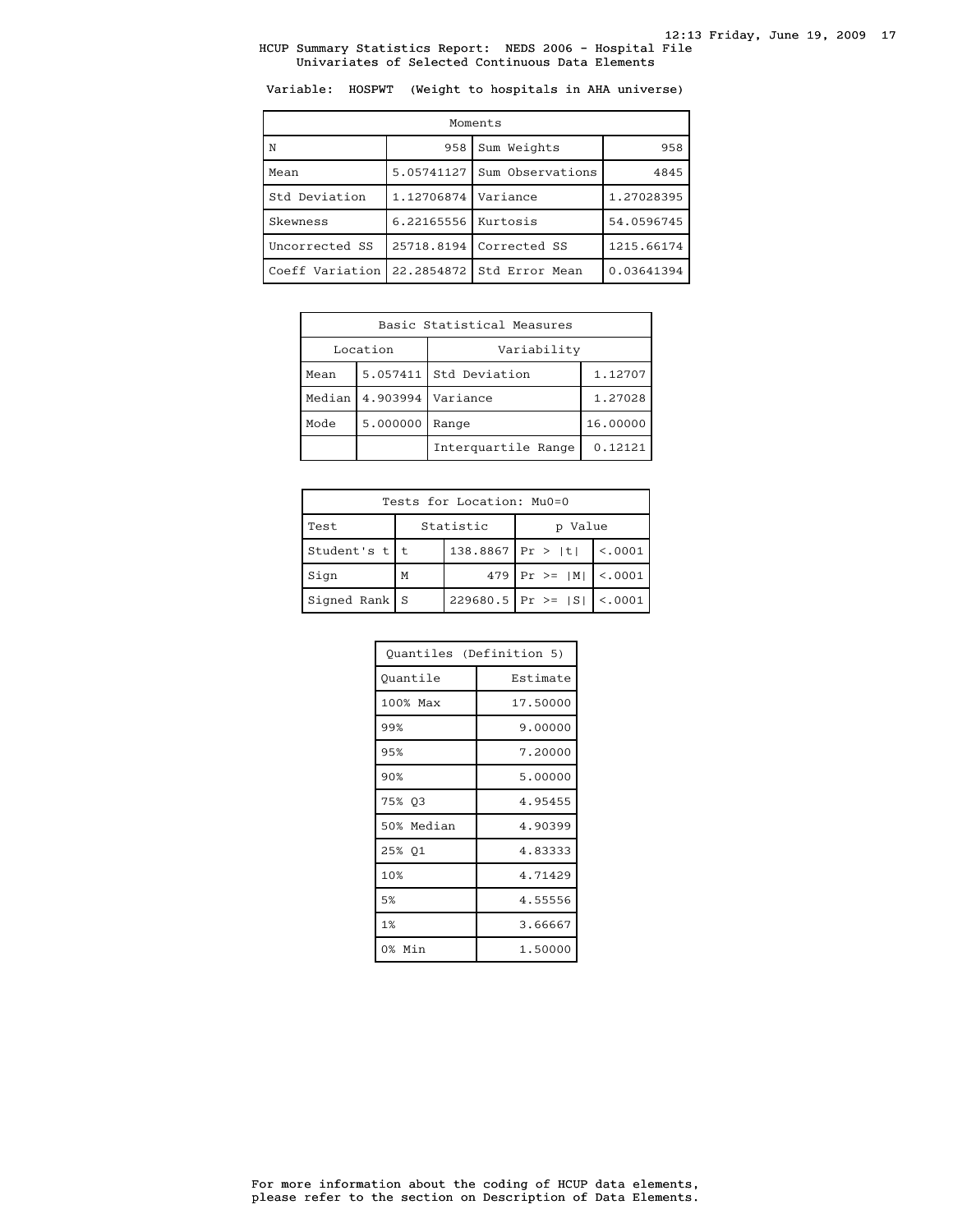Variable: HOSPWT (Weight to hospitals in AHA universe)

| Moments         |            |                  |            |  |
|-----------------|------------|------------------|------------|--|
| N               | 958        | Sum Weights      | 958        |  |
| Mean            | 5.05741127 | Sum Observations | 4845       |  |
| Std Deviation   | 1.12706874 | Variance         | 1.27028395 |  |
| Skewness        | 6.22165556 | Kurtosis         | 54.0596745 |  |
| Uncorrected SS  | 25718.8194 | Corrected SS     | 1215.66174 |  |
| Coeff Variation | 22.2854872 | Std Error Mean   | 0.03641394 |  |

| Basic Statistical Measures     |          |                     |          |  |
|--------------------------------|----------|---------------------|----------|--|
| Location                       |          | Variability         |          |  |
| Mean                           | 5.057411 | Std Deviation       | 1.12707  |  |
| Median<br>4.903994<br>Variance |          |                     | 1.27028  |  |
| Mode<br>5.000000               |          | Range               | 16.00000 |  |
|                                |          | Interguartile Range | 0.12121  |  |

| Tests for Location: Mu0=0 |   |                  |                             |          |
|---------------------------|---|------------------|-----------------------------|----------|
| Test                      |   | Statistic        | Value<br>D                  |          |
| Student's $t$   t         |   | 138.8867 Pr >  t |                             | < 0.0001 |
| Sign                      | M |                  | 479   Pr > = $ M $   < 0001 |          |
| Signed Rank   S           |   |                  | $229680.5$ Pr >= $ S $      | < .0001  |

| Quantiles (Definition 5) |          |  |
|--------------------------|----------|--|
| Quantile                 | Estimate |  |
| 100% Max                 | 17.50000 |  |
| 99%                      | 9.00000  |  |
| 95%                      | 7.20000  |  |
| 90%                      | 5.00000  |  |
| 75% 03                   | 4.95455  |  |
| 50% Median               | 4.90399  |  |
| 25% 01                   | 4.83333  |  |
| 10%                      | 4.71429  |  |
| 5%                       | 4.55556  |  |
| 1%                       | 3.66667  |  |
| 0% Min                   | 1.50000  |  |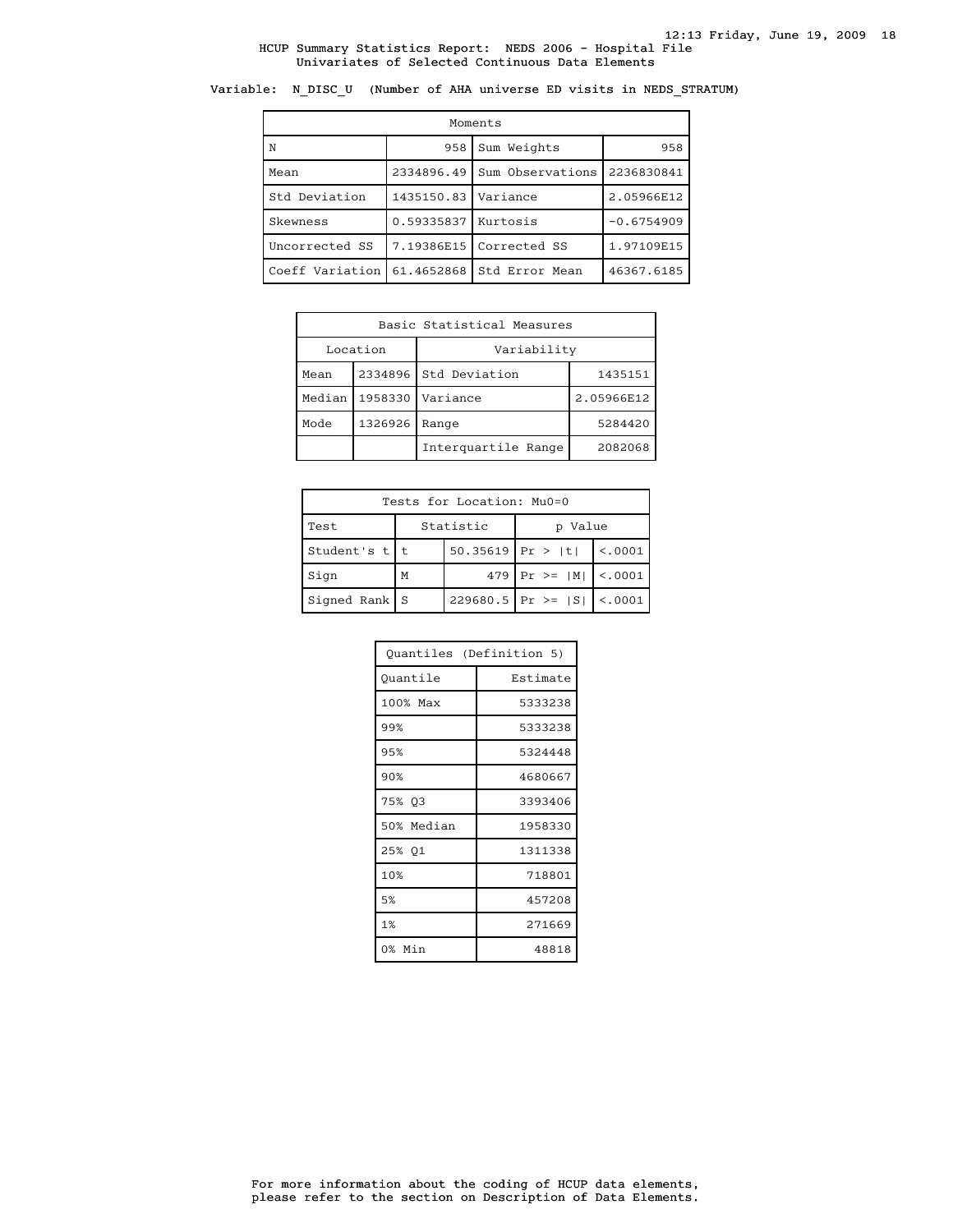Variable: N\_DISC\_U (Number of AHA universe ED visits in NEDS\_STRATUM)

| Moments         |            |                  |              |  |
|-----------------|------------|------------------|--------------|--|
| ١N              | 958        | Sum Weights      |              |  |
| Mean            | 2334896.49 | Sum Observations | 2236830841   |  |
| Std Deviation   | 1435150.83 | Variance         | 2.05966E12   |  |
| Skewness        | 0.59335837 | Kurtosis         | $-0.6754909$ |  |
| Uncorrected SS  | 7.19386E15 | Corrected SS     | 1.97109E15   |  |
| Coeff Variation | 61.4652868 | Std Error Mean   | 46367.6185   |  |

| Basic Statistical Measures |         |                     |            |  |
|----------------------------|---------|---------------------|------------|--|
| Location                   |         | Variability         |            |  |
| Mean                       | 2334896 | Std Deviation       | 1435151    |  |
| Median                     | 1958330 | Variance            | 2.05966E12 |  |
| 1326926<br>Mode            |         | Range               | 5284420    |  |
|                            |         | Interguartile Range | 2082068    |  |

| Tests for Location: Mu0=0 |                    |           |                               |         |
|---------------------------|--------------------|-----------|-------------------------------|---------|
| Test                      |                    | Statistic | Value                         |         |
| Student's $t$   t         | $50.35619$ Pr >  t |           |                               | < .0001 |
| Sign                      | M                  |           | 479   Pr >= $ M $   <.0001    |         |
| $Signal Rank$ S           |                    |           | $229680.5$ Pr >= $ S $ <.0001 |         |

| Ouantiles (Definition 5) |          |
|--------------------------|----------|
| Ouantile                 | Estimate |
| 100% Max                 | 5333238  |
| 99%                      | 5333238  |
| 95%                      | 5324448  |
| 90%                      | 4680667  |
| 75% 03                   | 3393406  |
| 50% Median               | 1958330  |
| 25% 01                   | 1311338  |
| 10%                      | 718801   |
| 5%                       | 457208   |
| 1%                       | 271669   |
| 0% Min                   | 48818    |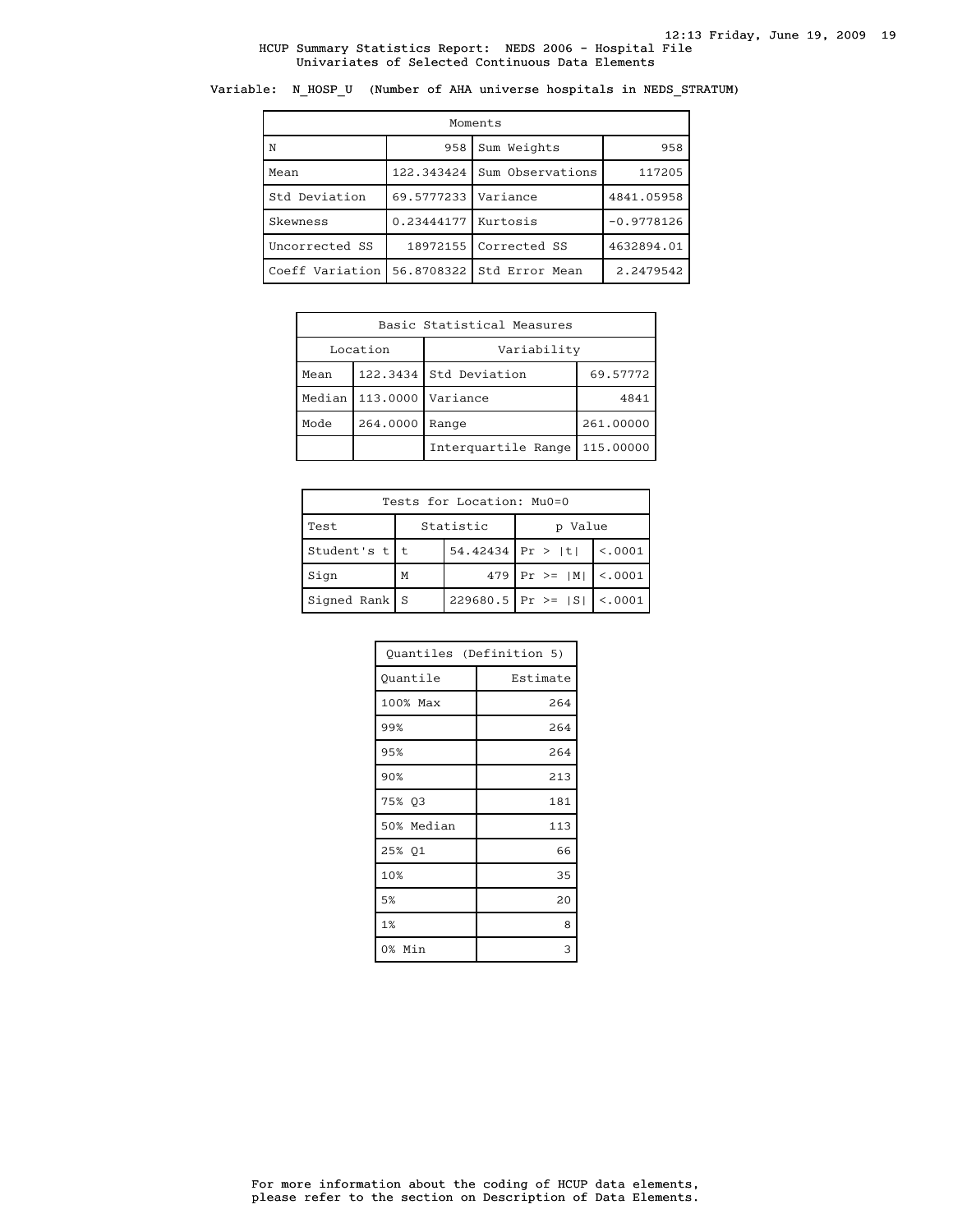Variable: N\_HOSP\_U (Number of AHA universe hospitals in NEDS\_STRATUM)

| Moments         |                       |                  |              |  |
|-----------------|-----------------------|------------------|--------------|--|
| N               | 958                   | Sum Weights      | 958          |  |
| Mean            | 122.343424            | Sum Observations | 117205       |  |
| Std Deviation   | 69.5777233            | Variance         | 4841.05958   |  |
| Skewness        | $0.23444177$ Kurtosis |                  | $-0.9778126$ |  |
| Uncorrected SS  | 18972155              | Corrected SS     | 4632894.01   |  |
| Coeff Variation | 56.8708322            | Std Error Mean   | 2.2479542    |  |

|                  | Basic Statistical Measures |                        |           |  |
|------------------|----------------------------|------------------------|-----------|--|
| Location         |                            | Variability            |           |  |
| Mean             |                            | 122.3434 Std Deviation | 69.57772  |  |
| Median           | 113,0000                   | Variance               | 4841      |  |
| Mode<br>264.0000 |                            | Range                  | 261.00000 |  |
|                  |                            | Interguartile Range    | 115.00000 |  |

| Tests for Location: Mu0=0 |                    |  |                                 |                |
|---------------------------|--------------------|--|---------------------------------|----------------|
| Test                      | Statistic          |  | p Value                         |                |
| Student's $t$   t         | $54.42434$ Pr >  t |  |                                 | $\vert$ <.0001 |
| Sign                      | M                  |  | 479   Pr >= $ M $   <.0001      |                |
| $Signal Rank$ S           |                    |  | 229680.5   Pr >= $ S $   <.0001 |                |

| Quantiles (Definition 5) |          |  |
|--------------------------|----------|--|
| Ouantile                 | Estimate |  |
| 100% Max                 | 264      |  |
| 99%                      | 264      |  |
| 95%                      | 264      |  |
| 90%                      | 213      |  |
| 75% Q3                   | 181      |  |
| 50% Median               | 113      |  |
| 25% Q1                   | 66       |  |
| 10%                      | 35       |  |
| 5%                       | 20       |  |
| 1%                       | 8        |  |
| 0% Min                   | 3        |  |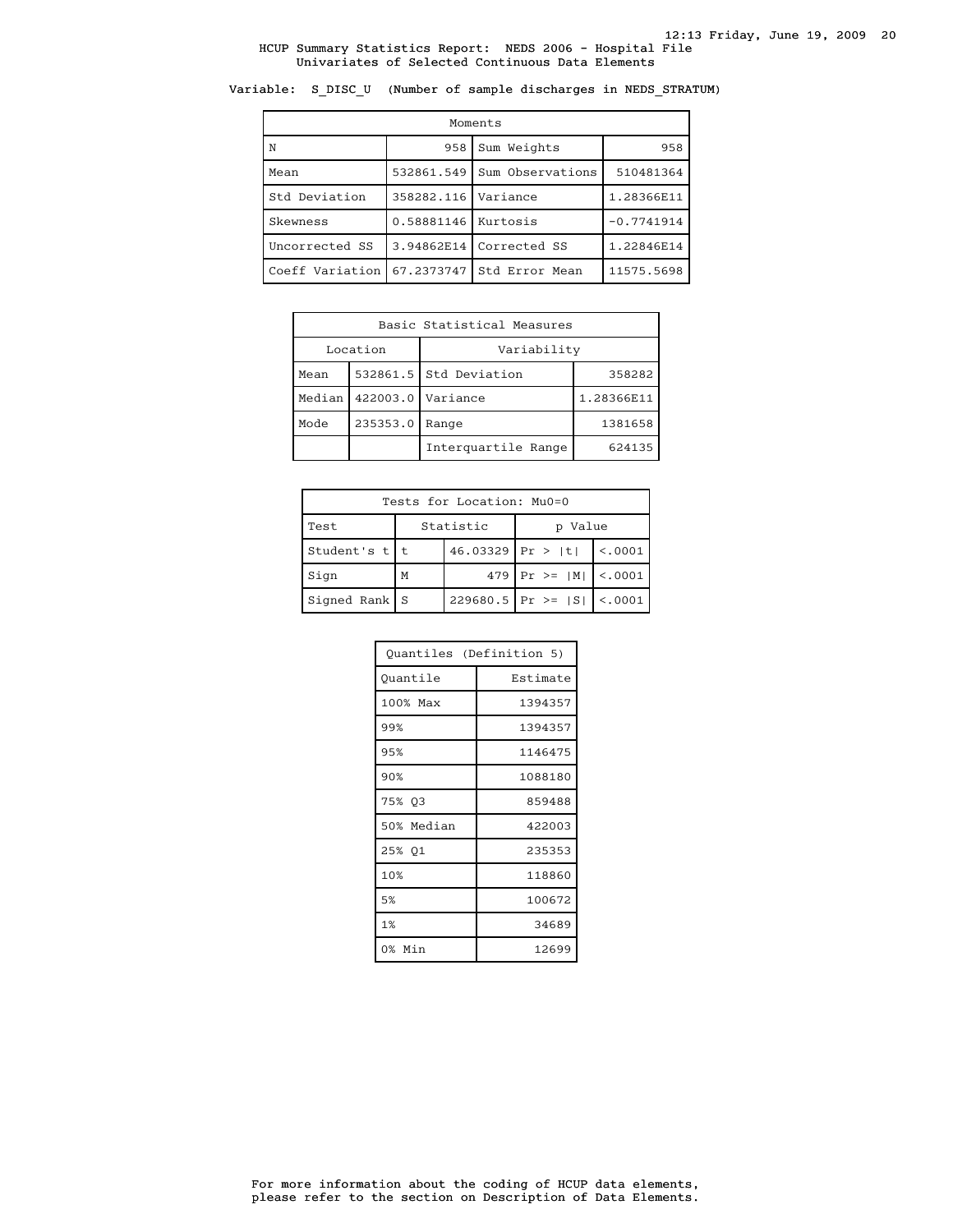# Variable: S\_DISC\_U (Number of sample discharges in NEDS\_STRATUM)

| Moments         |            |                  |              |  |
|-----------------|------------|------------------|--------------|--|
| N               | 958        | Sum Weights      | 958          |  |
| Mean            | 532861.549 | Sum Observations | 510481364    |  |
| Std Deviation   | 358282.116 | Variance         | 1.28366E11   |  |
| Skewness        | 0.58881146 | Kurtosis         | $-0.7741914$ |  |
| Uncorrected SS  | 3.94862E14 | Corrected SS     | 1.22846E14   |  |
| Coeff Variation | 67.2373747 | Std Error Mean   | 11575.5698   |  |

| Basic Statistical Measures |                     |                        |            |  |
|----------------------------|---------------------|------------------------|------------|--|
| Location                   |                     | Variability            |            |  |
| Mean                       |                     | 532861.5 Std Deviation | 358282     |  |
| Median                     | 422003.0   Variance |                        | 1.28366E11 |  |
| 235353.0<br>Mode           |                     | Range                  | 1381658    |  |
|                            |                     | Interguartile Range    | 624135     |  |

| Tests for Location: Mu0=0 |           |                    |                               |                |
|---------------------------|-----------|--------------------|-------------------------------|----------------|
| Test                      | Statistic |                    | p Value                       |                |
| Student's $t$   t         |           | $46.03329$ Pr >  t |                               | $\vert$ <.0001 |
| Sign                      | M         |                    | 479   Pr > = $ M $   < 0001   |                |
| $Signal Rank$ S           |           |                    | $229680.5$ Pr >= $ S $ <.0001 |                |

| Ouantiles (Definition 5) |          |
|--------------------------|----------|
| Ouantile                 | Estimate |
| 100% Max                 | 1394357  |
| 99%                      | 1394357  |
| 95%                      | 1146475  |
| 90%                      | 1088180  |
| 75% 03                   | 859488   |
| 50% Median               | 422003   |
| 25% 01                   | 235353   |
| 10%                      | 118860   |
| 5%                       | 100672   |
| 1%                       | 34689    |
| 0% Min                   | 12699    |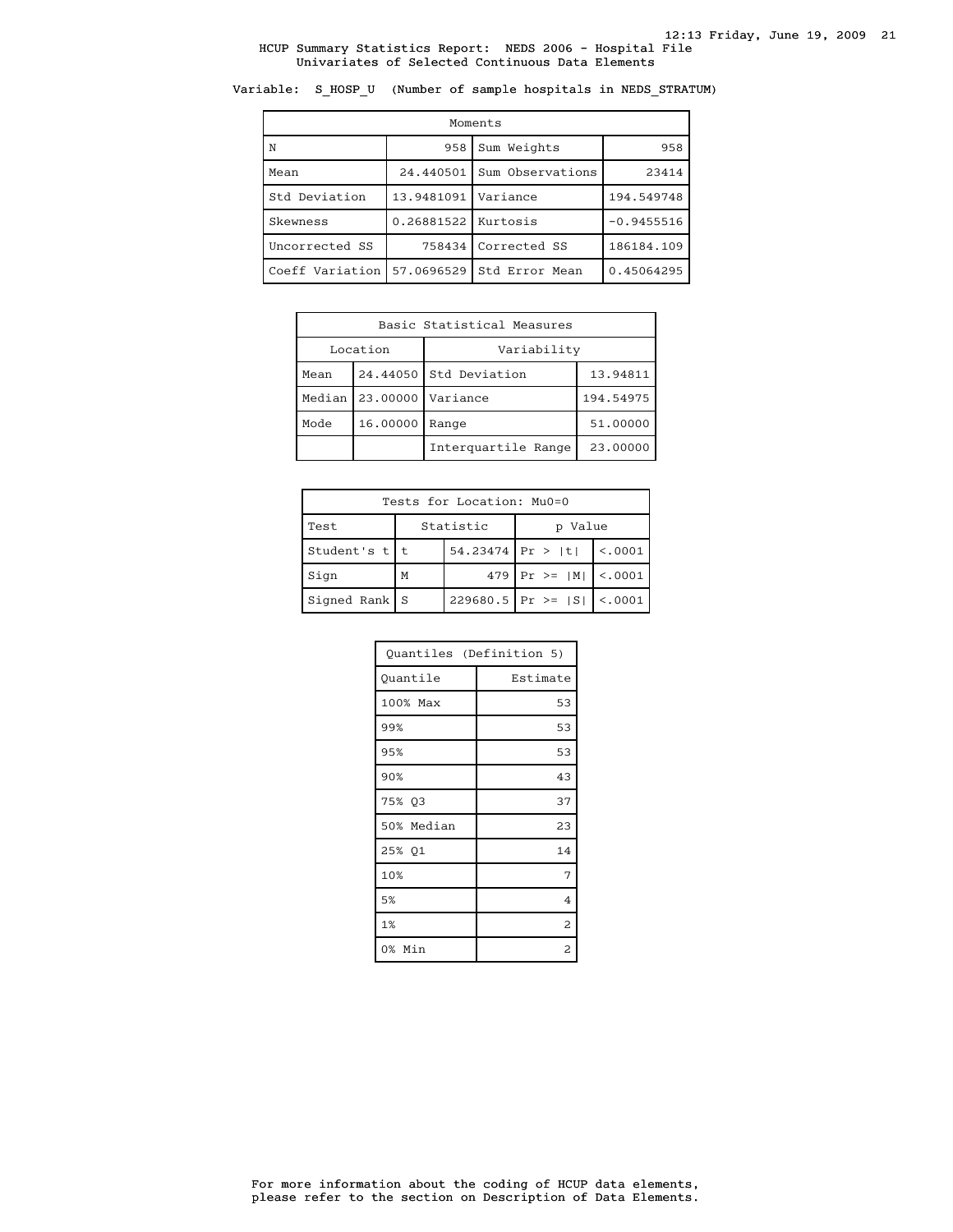Variable: S\_HOSP\_U (Number of sample hospitals in NEDS\_STRATUM)

| Moments         |                       |                  |              |  |
|-----------------|-----------------------|------------------|--------------|--|
| $\overline{N}$  | 958                   | Sum Weights      | 958          |  |
| Mean            | 24.440501             | Sum Observations | 23414        |  |
| Std Deviation   | 13.9481091            | Variance         | 194.549748   |  |
| Skewness        | 0.26881522   Kurtosis |                  | $-0.9455516$ |  |
| Uncorrected SS  | 758434                | Corrected SS     | 186184.109   |  |
| Coeff Variation | 57.0696529            | Std Error Mean   | 0.45064295   |  |

| Basic Statistical Measures       |  |                        |          |  |
|----------------------------------|--|------------------------|----------|--|
| Location                         |  | Variability            |          |  |
| Mean                             |  | 24.44050 Std Deviation | 13.94811 |  |
| 23,00000<br>Median  <br>Variance |  | 194.54975              |          |  |
| 16.00000<br>Mode                 |  | Range                  | 51,00000 |  |
|                                  |  | Interguartile Range    | 23,00000 |  |

| Tests for Location: Mu0=0 |                    |           |                               |                |
|---------------------------|--------------------|-----------|-------------------------------|----------------|
| Test                      |                    | Statistic | p Value                       |                |
| Student's $t$   t         | $54.23474$ Pr >  t |           |                               | $\vert$ <.0001 |
| Sign                      | M                  |           | 479   Pr > = $ M $   < 0001   |                |
| $Signal Rank$ S           |                    |           | $229680.5$ Pr >= $ S $ <.0001 |                |

| Quantiles (Definition 5) |                |  |
|--------------------------|----------------|--|
| Quantile                 | Estimate       |  |
| 100% Max                 | 53             |  |
| 99%                      | 53             |  |
| 95%                      | 53             |  |
| 90%                      | 43             |  |
| 75% Q3                   | 37             |  |
| 50% Median               | 23             |  |
| 25% 01                   | 14             |  |
| 10%                      | 7              |  |
| 5%                       | $\overline{4}$ |  |
| 1%                       | 2              |  |
| 0% Min                   | 2              |  |